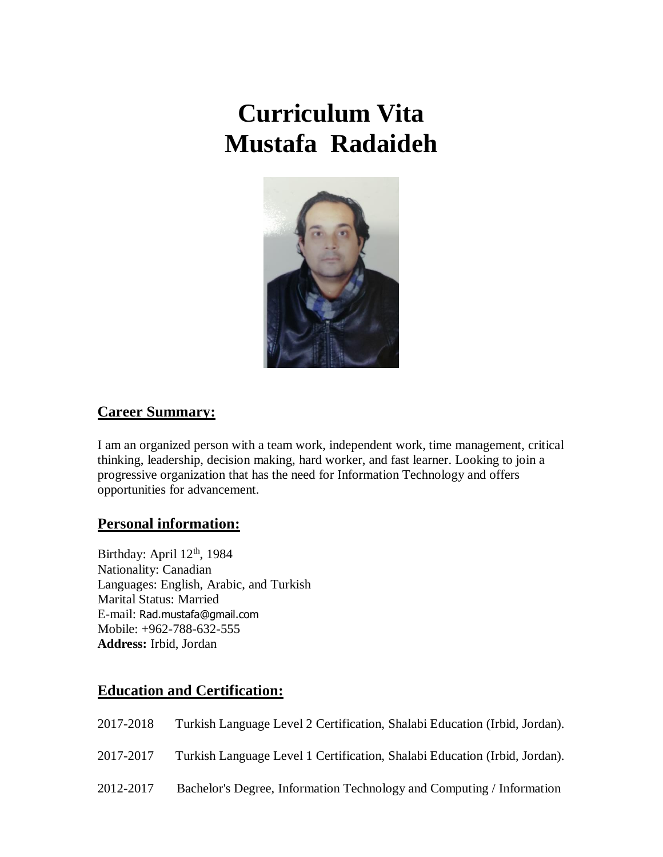# **Curriculum Vita Mustafa Radaideh**



## **Career Summary:**

I am an organized person with a team work, independent work, time management, critical thinking, leadership, decision making, hard worker, and fast learner. Looking to join a progressive organization that has the need for Information Technology and offers opportunities for advancement.

#### **Personal information:**

Birthday: April 12<sup>th</sup>, 1984 Nationality: Canadian Languages: English, Arabic, and Turkish Marital Status: Married E-mail: [Rad.mustafa@gmail.com](mailto:Rad.mustafa@gmail.com) Mobile: +962-788-632-555 **Address:** Irbid, Jordan

#### **Education and Certification:**

| 2017-2018 | Turkish Language Level 2 Certification, Shalabi Education (Irbid, Jordan). |
|-----------|----------------------------------------------------------------------------|
| 2017-2017 | Turkish Language Level 1 Certification, Shalabi Education (Irbid, Jordan). |

2012-2017 Bachelor's Degree, Information Technology and Computing / Information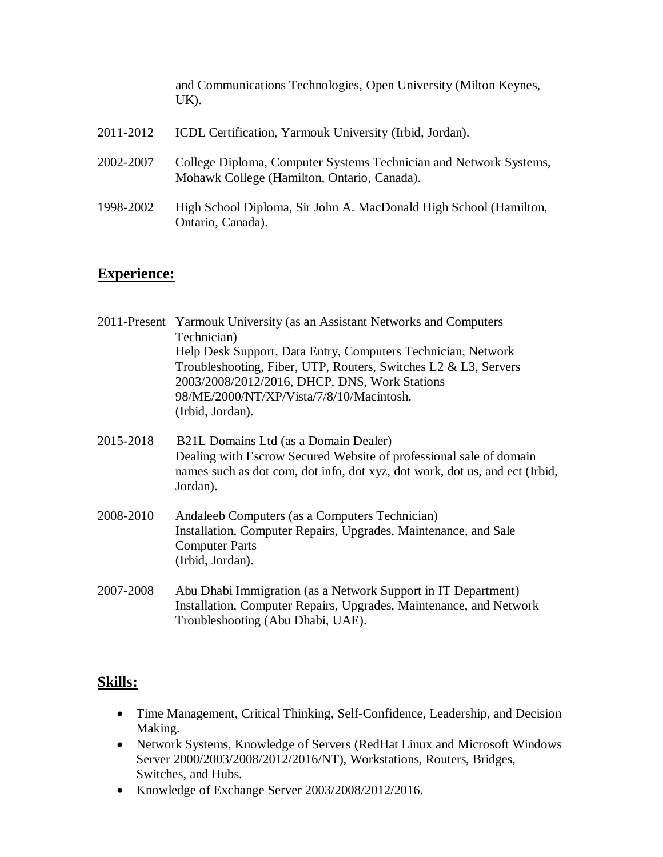and Communications Technologies, Open University (Milton Keynes, UK).

| 2011-2012 | ICDL Certification, Yarmouk University (Irbid, Jordan).                                                          |
|-----------|------------------------------------------------------------------------------------------------------------------|
| 2002-2007 | College Diploma, Computer Systems Technician and Network Systems,<br>Mohawk College (Hamilton, Ontario, Canada). |
| 1998-2002 | High School Diploma, Sir John A. MacDonald High School (Hamilton,<br>Ontario, Canada).                           |

## **Experience:**

| 2011-Present Yarmouk University (as an Assistant Networks and Computers |
|-------------------------------------------------------------------------|
| Technician)                                                             |
| Help Desk Support, Data Entry, Computers Technician, Network            |
| Troubleshooting, Fiber, UTP, Routers, Switches L2 & L3, Servers         |
| 2003/2008/2012/2016, DHCP, DNS, Work Stations                           |
| 98/ME/2000/NT/XP/Vista/7/8/10/Macintosh.                                |
| (Irbid, Jordan).                                                        |
|                                                                         |
|                                                                         |

- 2015-2018 B21L Domains Ltd (as a Domain Dealer) Dealing with Escrow Secured Website of professional sale of domain names such as dot com, dot info, dot xyz, dot work, dot us, and ect (Irbid, Jordan).
- 2008-2010 Andaleeb Computers (as a Computers Technician) Installation, Computer Repairs, Upgrades, Maintenance, and Sale Computer Parts (Irbid, Jordan).
- 2007-2008 Abu Dhabi Immigration (as a Network Support in IT Department) Installation, Computer Repairs, Upgrades, Maintenance, and Network Troubleshooting (Abu Dhabi, UAE).

## **Skills:**

- Time Management, Critical Thinking, Self-Confidence, Leadership, and Decision Making.
- Network Systems, Knowledge of Servers (RedHat Linux and Microsoft Windows Server 2000/2003/2008/2012/2016/NT), Workstations, Routers, Bridges, Switches, and Hubs.
- Knowledge of Exchange Server 2003/2008/2012/2016.